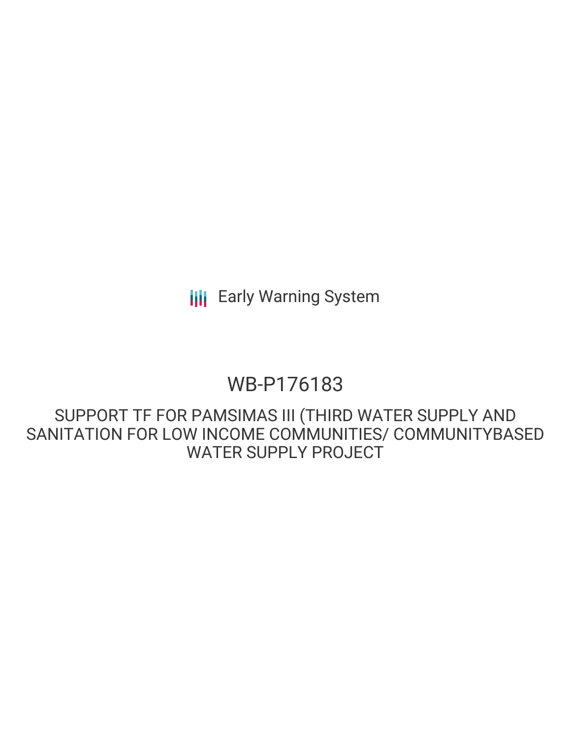# WB-P176183

SUPPORT TF FOR PAMSIMAS III (THIRD WATER SUPPLY AND SANITATION FOR LOW INCOME COMMUNITIES/ COMMUNITYBASED WATER SUPPLY PROJECT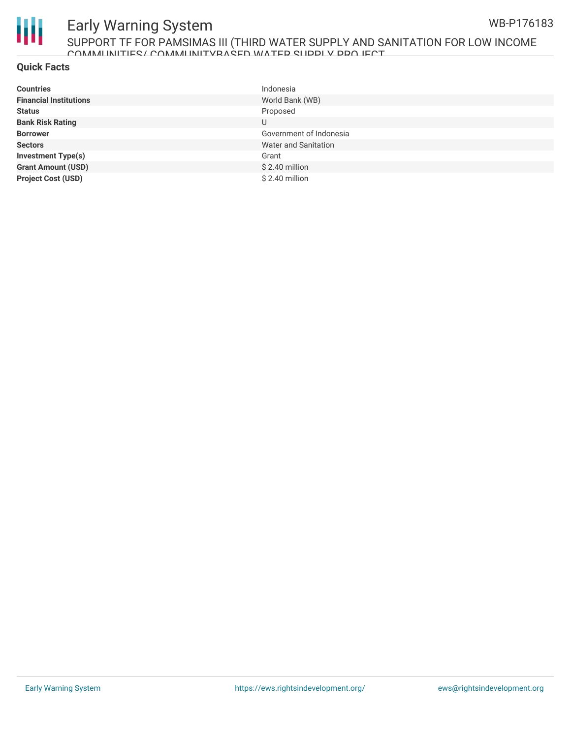

#### SUPPORT TF FOR PAMSIMAS III (THIRD WATER SUPPLY AND SANITATION FOR LOW INCOME COMMUNITIES/ COMMUNITYBASED WATER SUPPLY PROJECT

#### **Quick Facts**

| <b>Countries</b>              | Indonesia               |
|-------------------------------|-------------------------|
| <b>Financial Institutions</b> | World Bank (WB)         |
| <b>Status</b>                 | Proposed                |
| <b>Bank Risk Rating</b>       | U                       |
| <b>Borrower</b>               | Government of Indonesia |
| <b>Sectors</b>                | Water and Sanitation    |
| <b>Investment Type(s)</b>     | Grant                   |
| <b>Grant Amount (USD)</b>     | $$2.40$ million         |
| <b>Project Cost (USD)</b>     | \$2.40 million          |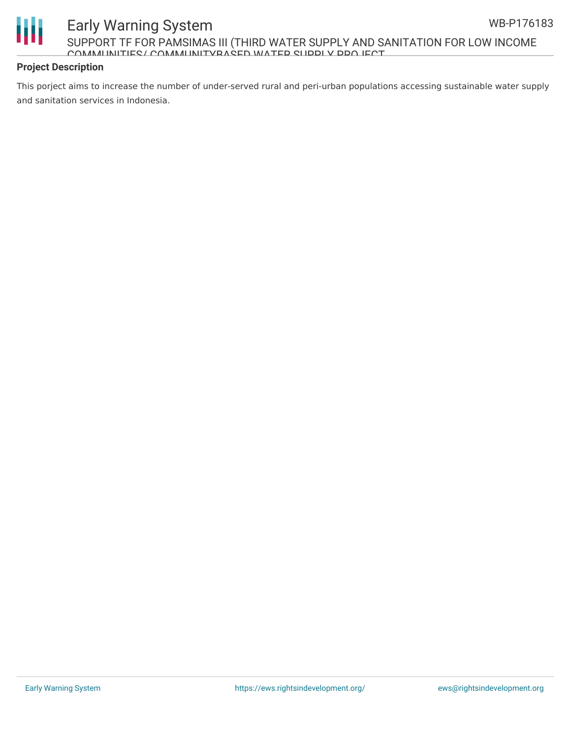

#### Early Warning System SUPPORT TF FOR PAMSIMAS III (THIRD WATER SUPPLY AND SANITATION FOR LOW INCOME COMMUNITIES/ COMMUNITYBASED WATER SHIPPLY PROJECT

#### **Project Description**

This porject aims to increase the number of under-served rural and peri-urban populations accessing sustainable water supply and sanitation services in Indonesia.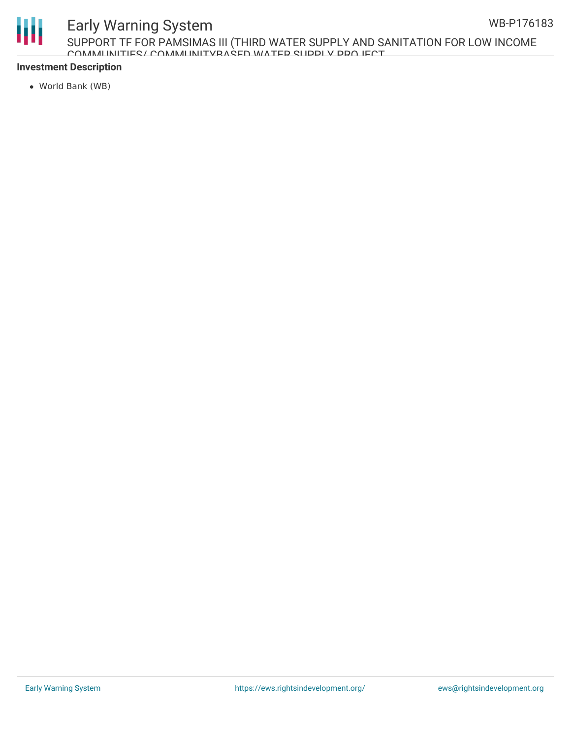

SUPPORT TF FOR PAMSIMAS III (THIRD WATER SUPPLY AND SANITATION FOR LOW INCOME COMMUNITIES/ COMMUNITYBASED WATER SUPPLY PROJECT

#### **Investment Description**

World Bank (WB)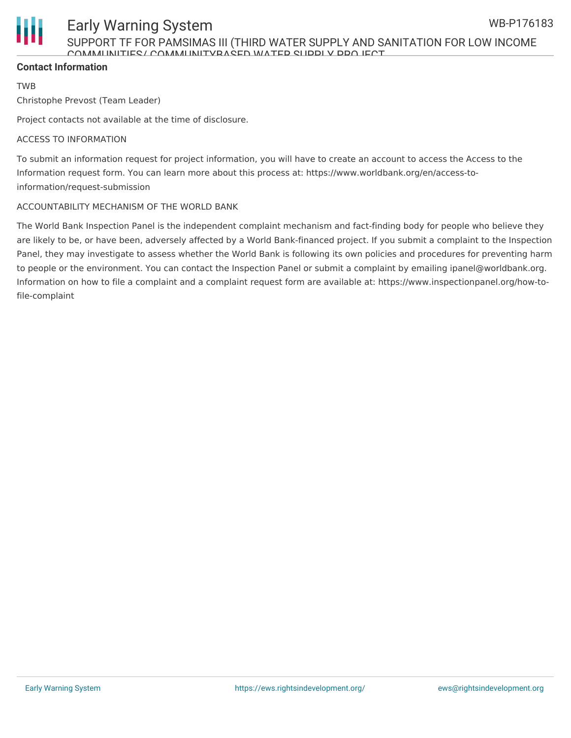

SUPPORT TF FOR PAMSIMAS III (THIRD WATER SUPPLY AND SANITATION FOR LOW INCOME COMMUNITIES/ COMMUNITYBASED WATER SURPLY PROJECT

#### **Contact Information**

TWB

Christophe Prevost (Team Leader)

Project contacts not available at the time of disclosure.

#### ACCESS TO INFORMATION

To submit an information request for project information, you will have to create an account to access the Access to the Information request form. You can learn more about this process at: https://www.worldbank.org/en/access-toinformation/request-submission

#### ACCOUNTABILITY MECHANISM OF THE WORLD BANK

The World Bank Inspection Panel is the independent complaint mechanism and fact-finding body for people who believe they are likely to be, or have been, adversely affected by a World Bank-financed project. If you submit a complaint to the Inspection Panel, they may investigate to assess whether the World Bank is following its own policies and procedures for preventing harm to people or the environment. You can contact the Inspection Panel or submit a complaint by emailing ipanel@worldbank.org. Information on how to file a complaint and a complaint request form are available at: https://www.inspectionpanel.org/how-tofile-complaint